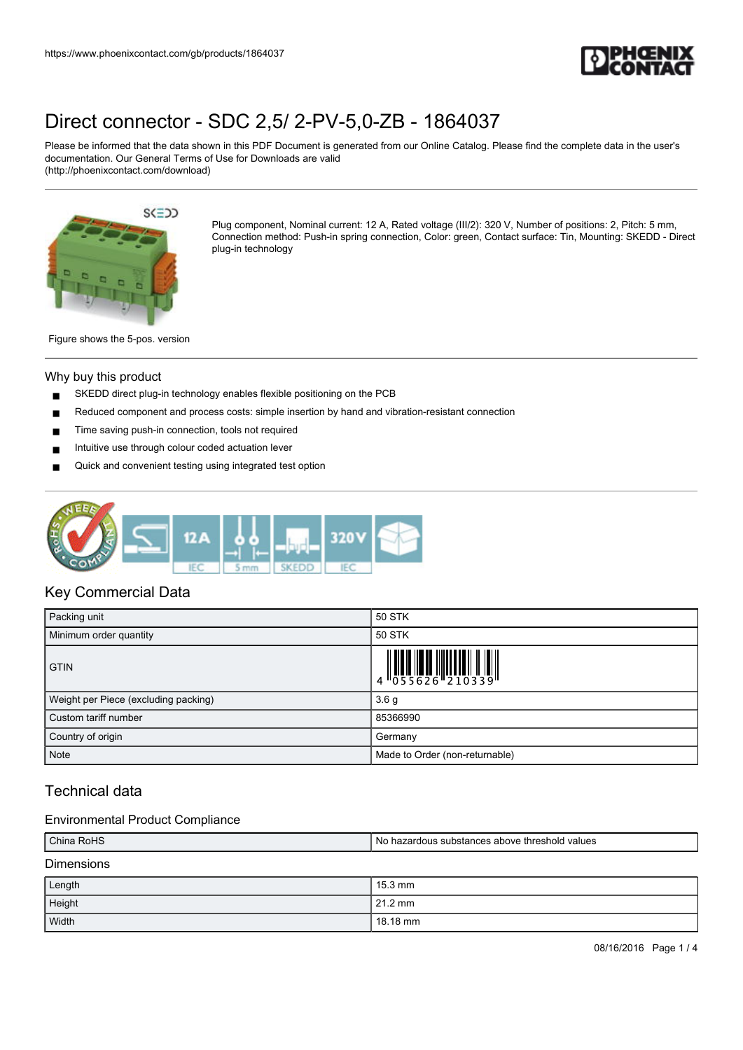

Please be informed that the data shown in this PDF Document is generated from our Online Catalog. Please find the complete data in the user's documentation. Our General Terms of Use for Downloads are valid (http://phoenixcontact.com/download)



Plug component, Nominal current: 12 A, Rated voltage (III/2): 320 V, Number of positions: 2, Pitch: 5 mm, Connection method: Push-in spring connection, Color: green, Contact surface: Tin, Mounting: SKEDD - Direct plug-in technology

Figure shows the 5-pos. version

#### Why buy this product

- SKEDD direct plug-in technology enables flexible positioning on the PCB
- Reduced component and process costs: simple insertion by hand and vibration-resistant connection
- Time saving push-in connection, tools not required
- Intuitive use through colour coded actuation lever
- Quick and convenient testing using integrated test option



## Key Commercial Data

| Packing unit                         | 50 STK                         |  |
|--------------------------------------|--------------------------------|--|
| Minimum order quantity               | 50 STK                         |  |
| <b>GTIN</b>                          |                                |  |
| Weight per Piece (excluding packing) | 3.6 <sub>g</sub>               |  |
| Custom tariff number                 | 85366990                       |  |
| Country of origin                    | Germany                        |  |
| <b>Note</b>                          | Made to Order (non-returnable) |  |

## Technical data

## Environmental Product Compliance

| China RoHS        | No hazardous substances above threshold values |  |
|-------------------|------------------------------------------------|--|
| <b>Dimensions</b> |                                                |  |
|                   |                                                |  |

| Length | $15.3 \text{ mm}$ |
|--------|-------------------|
| Height | 21.2 mm           |
| Width  | 18.18 mm          |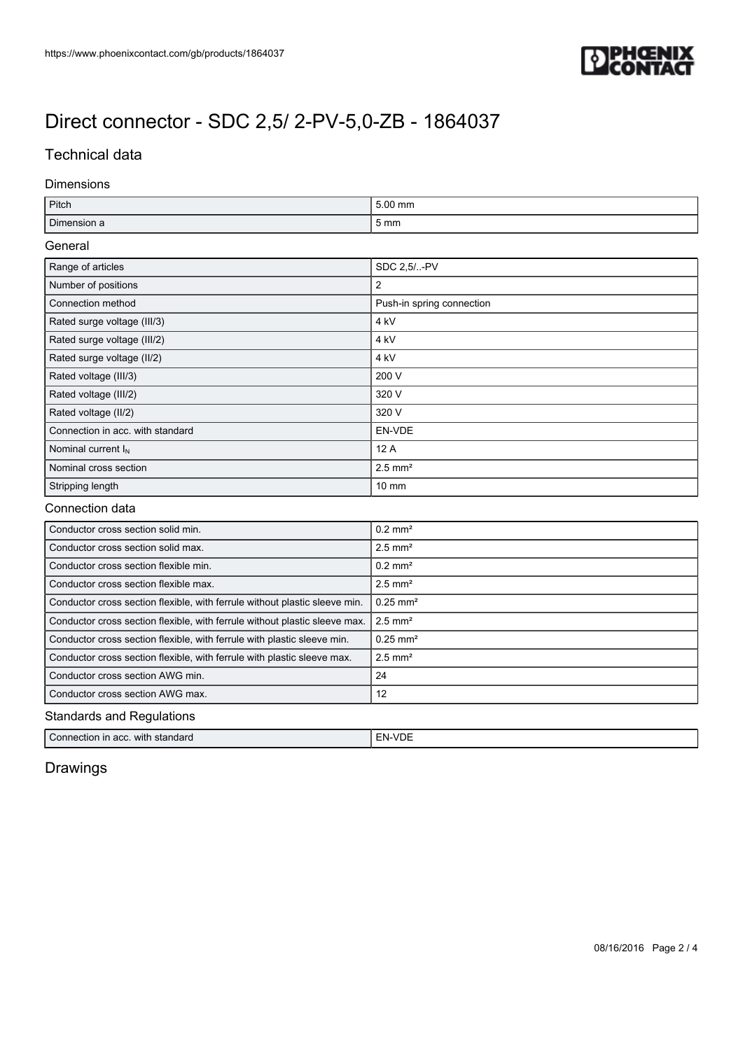

## Technical data

#### Dimensions

| Pitch                                                                      | 5.00 mm                   |  |
|----------------------------------------------------------------------------|---------------------------|--|
| Dimension a                                                                | 5 <sub>mm</sub>           |  |
| General                                                                    |                           |  |
| Range of articles                                                          | SDC 2,5/-PV               |  |
| Number of positions                                                        | 2                         |  |
| Connection method                                                          | Push-in spring connection |  |
| Rated surge voltage (III/3)                                                | 4 <sub>kV</sub>           |  |
| Rated surge voltage (III/2)                                                | 4 <sub>kV</sub>           |  |
| Rated surge voltage (II/2)                                                 | 4 <sub>kV</sub>           |  |
| Rated voltage (III/3)                                                      | 200 V                     |  |
| Rated voltage (III/2)                                                      | 320 V                     |  |
| Rated voltage (II/2)                                                       | 320 V                     |  |
| Connection in acc. with standard                                           | EN-VDE                    |  |
| Nominal current $I_N$                                                      | 12A                       |  |
| Nominal cross section                                                      | $2.5$ mm <sup>2</sup>     |  |
| Stripping length                                                           | $10 \text{ mm}$           |  |
| Connection data                                                            |                           |  |
| Conductor cross section solid min.                                         | $0.2 \text{ mm}^2$        |  |
| Conductor cross section solid max.                                         | $2.5$ mm <sup>2</sup>     |  |
| Conductor cross section flexible min.                                      | $0.2$ mm <sup>2</sup>     |  |
| Conductor cross section flexible max.                                      | $2.5$ mm <sup>2</sup>     |  |
| Conductor cross section flexible, with ferrule without plastic sleeve min. | $0.25$ mm <sup>2</sup>    |  |
| Conductor cross section flexible, with ferrule without plastic sleeve max. | $2.5$ mm <sup>2</sup>     |  |
| Conductor cross section flexible, with ferrule with plastic sleeve min.    | $0.25$ mm <sup>2</sup>    |  |
| Conductor cross section flexible, with ferrule with plastic sleeve max.    | $2.5$ mm <sup>2</sup>     |  |
| Conductor cross section AWG min.                                           | 24                        |  |
| Conductor cross section AWG max.                                           | 12                        |  |

Standards and Regulations

Connection in acc. with standard **EN-VDE** 

## Drawings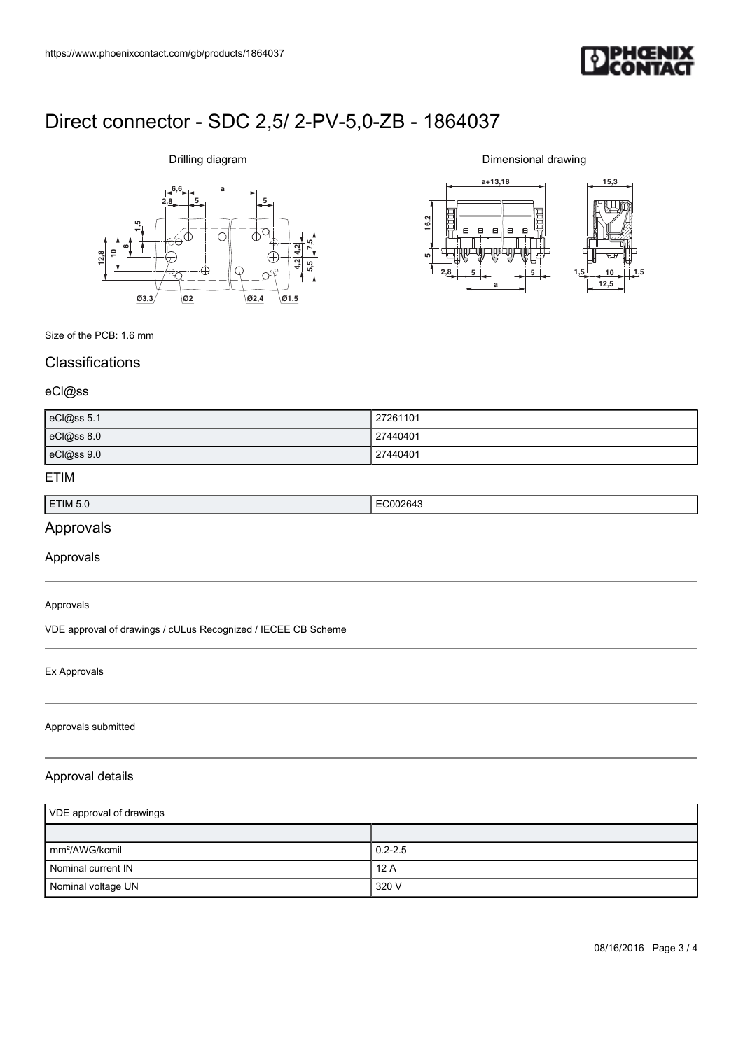

# **6,6 a**  $2,8$   $5$ **612,810 1,5 7,5 5,5 4,2 4,2 Ø3,3 Ø2 Ø2,4 Ø1,5**

Drilling diagram

Dimensional drawing



Size of the PCB: 1.6 mm

## **Classifications**

#### eCl@ss

| eCl@ss 5.1 | 27261101 |
|------------|----------|
| eCl@ss 8.0 | 27440401 |
| eCl@ss 9.0 | 27440401 |

#### ETIM

| ETIM 5.0 | ٠н.<br>- ג<br>. |
|----------|-----------------|
|          |                 |

## Approvals

Approvals

#### Approvals

VDE approval of drawings / cULus Recognized / IECEE CB Scheme

#### Ex Approvals

#### Approvals submitted

## Approval details

| VDE approval of drawings    |             |
|-----------------------------|-------------|
|                             |             |
| $\mathsf{Imm}^2$ /AWG/kcmil | $0.2 - 2.5$ |
| Nominal current IN          | 12A         |
| Nominal voltage UN          | 320 V       |